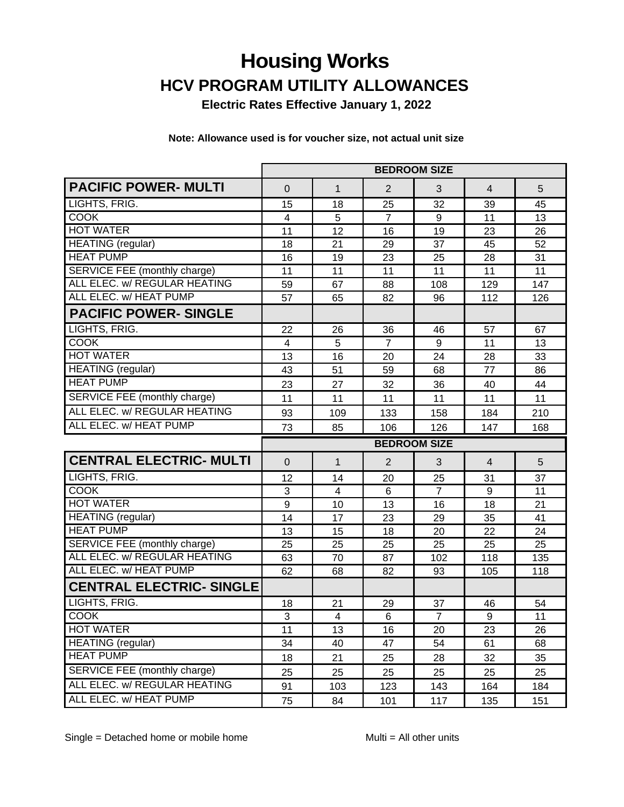# **Housing Works HCV PROGRAM UTILITY ALLOWANCES**

**Electric Rates Effective January 1, 2022**

**Note: Allowance used is for voucher size, not actual unit size**

|                                 | <b>BEDROOM SIZE</b>     |              |                     |                |                  |     |
|---------------------------------|-------------------------|--------------|---------------------|----------------|------------------|-----|
| <b>PACIFIC POWER- MULTI</b>     | 0                       | $\mathbf{1}$ | $\overline{2}$      | 3              | $\overline{4}$   | 5   |
| LIGHTS, FRIG.                   | 15                      | 18           | 25                  | 32             | 39               | 45  |
| <b>COOK</b>                     | 4                       | 5            | $\overline{7}$      | 9              | 11               | 13  |
| <b>HOT WATER</b>                | 11                      | 12           | 16                  | 19             | 23               | 26  |
| <b>HEATING</b> (regular)        | 18                      | 21           | 29                  | 37             | 45               | 52  |
| <b>HEAT PUMP</b>                | 16                      | 19           | 23                  | 25             | 28               | 31  |
| SERVICE FEE (monthly charge)    | 11                      | 11           | 11                  | 11             | 11               | 11  |
| ALL ELEC. w/ REGULAR HEATING    | 59                      | 67           | 88                  | 108            | 129              | 147 |
| ALL ELEC. w/ HEAT PUMP          | 57                      | 65           | 82                  | 96             | 112              | 126 |
| <b>PACIFIC POWER- SINGLE</b>    |                         |              |                     |                |                  |     |
| LIGHTS, FRIG.                   | 22                      | 26           | 36                  | 46             | 57               | 67  |
| <b>COOK</b>                     | $\overline{\mathbf{4}}$ | 5            | $\overline{7}$      | 9              | 11               | 13  |
| <b>HOT WATER</b>                | 13                      | 16           | 20                  | 24             | 28               | 33  |
| <b>HEATING</b> (regular)        | 43                      | 51           | 59                  | 68             | 77               | 86  |
| <b>HEAT PUMP</b>                | 23                      | 27           | 32                  | 36             | 40               | 44  |
| SERVICE FEE (monthly charge)    | 11                      | 11           | 11                  | 11             | 11               | 11  |
| ALL ELEC. w/ REGULAR HEATING    | 93                      | 109          | 133                 | 158            | 184              | 210 |
| ALL ELEC. w/ HEAT PUMP          | 73                      | 85           | 106                 | 126            | 147              | 168 |
|                                 |                         |              |                     |                |                  |     |
|                                 |                         |              | <b>BEDROOM SIZE</b> |                |                  |     |
| <b>CENTRAL ELECTRIC- MULTI</b>  | $\mathbf 0$             | $\mathbf 1$  | $\overline{2}$      | 3              | $\overline{4}$   | 5   |
| LIGHTS, FRIG.                   | 12                      | 14           | 20                  | 25             | 31               | 37  |
| <b>COOK</b>                     | $\sqrt{3}$              | 4            | 6                   | $\overline{7}$ | $\boldsymbol{9}$ | 11  |
| <b>HOT WATER</b>                | 9                       | 10           | 13                  | 16             | 18               | 21  |
| <b>HEATING</b> (regular)        | 14                      | 17           | 23                  | 29             | 35               | 41  |
| <b>HEAT PUMP</b>                | 13                      | 15           | 18                  | 20             | 22               | 24  |
| SERVICE FEE (monthly charge)    | 25                      | 25           | 25                  | 25             | 25               | 25  |
| ALL ELEC. w/ REGULAR HEATING    | 63                      | 70           | 87                  | 102            | 118              | 135 |
| ALL ELEC. w/ HEAT PUMP          | 62                      | 68           | 82                  | 93             | 105              | 118 |
| <b>CENTRAL ELECTRIC- SINGLE</b> |                         |              |                     |                |                  |     |
| LIGHTS, FRIG.                   | 18                      | 21           | 29                  | 37             | 46               | 54  |
| COOK                            | 3                       | 4            | 6                   | $\overline{7}$ | 9                | 11  |
| <b>HOT WATER</b>                | 11                      | 13           | 16                  | 20             | 23               | 26  |
| <b>HEATING</b> (regular)        | 34                      | 40           | 47                  | 54             | 61               | 68  |
| <b>HEAT PUMP</b>                | 18                      | 21           | 25                  | 28             | 32               | 35  |
| SERVICE FEE (monthly charge)    | 25                      | 25           | 25                  | 25             | 25               | 25  |
| ALL ELEC. w/ REGULAR HEATING    | 91                      | 103          | 123                 | 143            | 164              | 184 |

Single = Detached home or mobile home Multi = All other units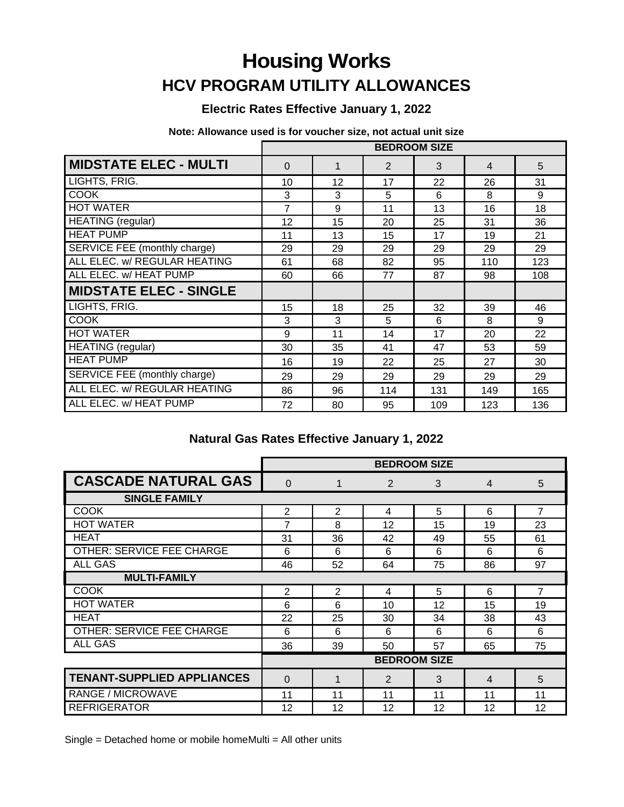## **Housing Works HCV PROGRAM UTILITY ALLOWANCES**

### **Electric Rates Effective January 1, 2022**

**Note: Allowance used is for voucher size, not actual unit size**

|                               | <b>BEDROOM SIZE</b> |    |                |     |     |     |
|-------------------------------|---------------------|----|----------------|-----|-----|-----|
| <b>MIDSTATE ELEC - MULTI</b>  | $\Omega$            | 1  | $\overline{2}$ | 3   | 4   | 5   |
| LIGHTS, FRIG.                 | 10                  | 12 | 17             | 22  | 26  | 31  |
| <b>COOK</b>                   | 3                   | 3  | 5              | 6   | 8   | 9   |
| <b>HOT WATER</b>              | 7                   | 9  | 11             | 13  | 16  | 18  |
| <b>HEATING</b> (regular)      | 12                  | 15 | 20             | 25  | 31  | 36  |
| <b>HEAT PUMP</b>              | 11                  | 13 | 15             | 17  | 19  | 21  |
| SERVICE FEE (monthly charge)  | 29                  | 29 | 29             | 29  | 29  | 29  |
| ALL ELEC. w/ REGULAR HEATING  | 61                  | 68 | 82             | 95  | 110 | 123 |
| ALL ELEC. w/ HEAT PUMP        | 60                  | 66 | 77             | 87  | 98  | 108 |
| <b>MIDSTATE ELEC - SINGLE</b> |                     |    |                |     |     |     |
| LIGHTS, FRIG.                 | 15                  | 18 | 25             | 32  | 39  | 46  |
| <b>COOK</b>                   | 3                   | 3  | 5              | 6   | 8   | 9   |
| <b>HOT WATER</b>              | 9                   | 11 | 14             | 17  | 20  | 22  |
| <b>HEATING</b> (regular)      | 30                  | 35 | 41             | 47  | 53  | 59  |
| <b>HEAT PUMP</b>              | 16                  | 19 | 22             | 25  | 27  | 30  |
| SERVICE FEE (monthly charge)  | 29                  | 29 | 29             | 29  | 29  | 29  |
| ALL ELEC. w/ REGULAR HEATING  | 86                  | 96 | 114            | 131 | 149 | 165 |
| ALL ELEC. w/ HEAT PUMP        | 72                  | 80 | 95             | 109 | 123 | 136 |

### **Natural Gas Rates Effective January 1, 2022**

|                                   | <b>BEDROOM SIZE</b> |                |                |    |                |                |  |
|-----------------------------------|---------------------|----------------|----------------|----|----------------|----------------|--|
| <b>CASCADE NATURAL GAS</b>        | $\Omega$            | $\mathbf{1}$   | 2              | 3  | $\overline{4}$ | 5              |  |
| <b>SINGLE FAMILY</b>              |                     |                |                |    |                |                |  |
| <b>COOK</b>                       | $\overline{2}$      | $\overline{2}$ | 4              | 5  | 6              | $\overline{7}$ |  |
| <b>HOT WATER</b>                  | 7                   | 8              | 12             | 15 | 19             | 23             |  |
| <b>HEAT</b>                       | 31                  | 36             | 42             | 49 | 55             | 61             |  |
| OTHER: SERVICE FEE CHARGE         | 6                   | 6              | 6              | 6  | 6              | 6              |  |
| <b>ALL GAS</b>                    | 46                  | 52             | 64             | 75 | 86             | 97             |  |
| <b>MULTI-FAMILY</b>               |                     |                |                |    |                |                |  |
| COOK                              | $\overline{2}$      | 2              | 4              | 5  | 6              | $\overline{7}$ |  |
| <b>HOT WATER</b>                  | 6                   | 6              | 10             | 12 | 15             | 19             |  |
| <b>HEAT</b>                       | 22                  | 25             | 30             | 34 | 38             | 43             |  |
| OTHER: SERVICE FEE CHARGE         | 6                   | 6              | 6              | 6  | 6              | 6              |  |
| <b>ALL GAS</b>                    | 36                  | 39             | 50             | 57 | 65             | 75             |  |
|                                   | <b>BEDROOM SIZE</b> |                |                |    |                |                |  |
| <b>TENANT-SUPPLIED APPLIANCES</b> | 0                   | 1              | $\overline{2}$ | 3  | $\overline{4}$ | 5              |  |
| RANGE / MICROWAVE                 | 11                  | 11             | 11             | 11 | 11             | 11             |  |
| <b>REFRIGERATOR</b>               | 12                  | 12             | 12             | 12 | 12             | 12             |  |

Single = Detached home or mobile homeMulti = All other units